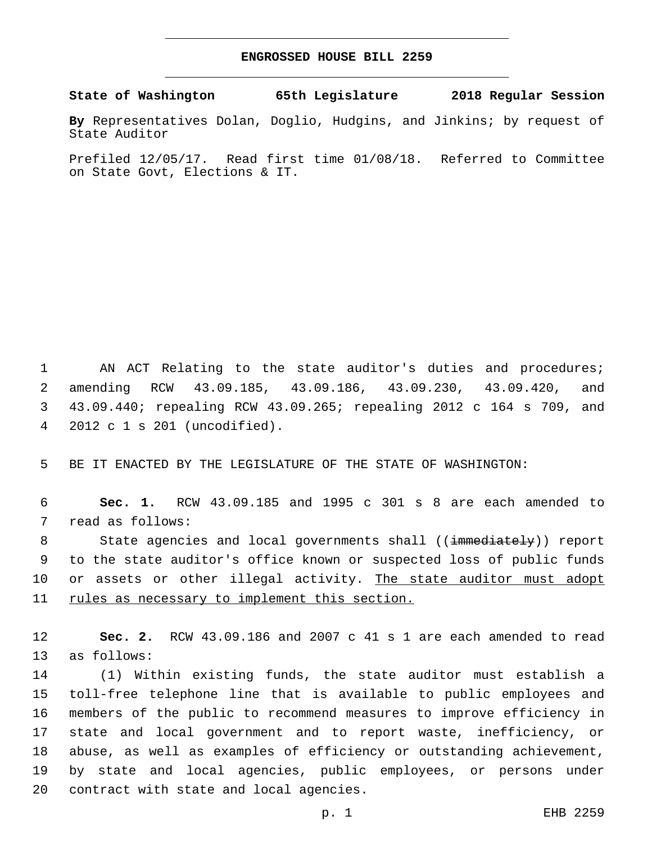## **ENGROSSED HOUSE BILL 2259**

**State of Washington 65th Legislature 2018 Regular Session**

**By** Representatives Dolan, Doglio, Hudgins, and Jinkins; by request of State Auditor

Prefiled 12/05/17. Read first time 01/08/18. Referred to Committee on State Govt, Elections & IT.

1 AN ACT Relating to the state auditor's duties and procedures; 2 amending RCW 43.09.185, 43.09.186, 43.09.230, 43.09.420, and 3 43.09.440; repealing RCW 43.09.265; repealing 2012 c 164 s 709, and 2012 c 1 s 201 (uncodified).4

5 BE IT ENACTED BY THE LEGISLATURE OF THE STATE OF WASHINGTON:

6 **Sec. 1.** RCW 43.09.185 and 1995 c 301 s 8 are each amended to 7 read as follows:

8 State agencies and local governments shall ((immediately)) report 9 to the state auditor's office known or suspected loss of public funds 10 or assets or other illegal activity. The state auditor must adopt 11 rules as necessary to implement this section.

12 **Sec. 2.** RCW 43.09.186 and 2007 c 41 s 1 are each amended to read 13 as follows:

 (1) Within existing funds, the state auditor must establish a toll-free telephone line that is available to public employees and members of the public to recommend measures to improve efficiency in state and local government and to report waste, inefficiency, or abuse, as well as examples of efficiency or outstanding achievement, by state and local agencies, public employees, or persons under 20 contract with state and local agencies.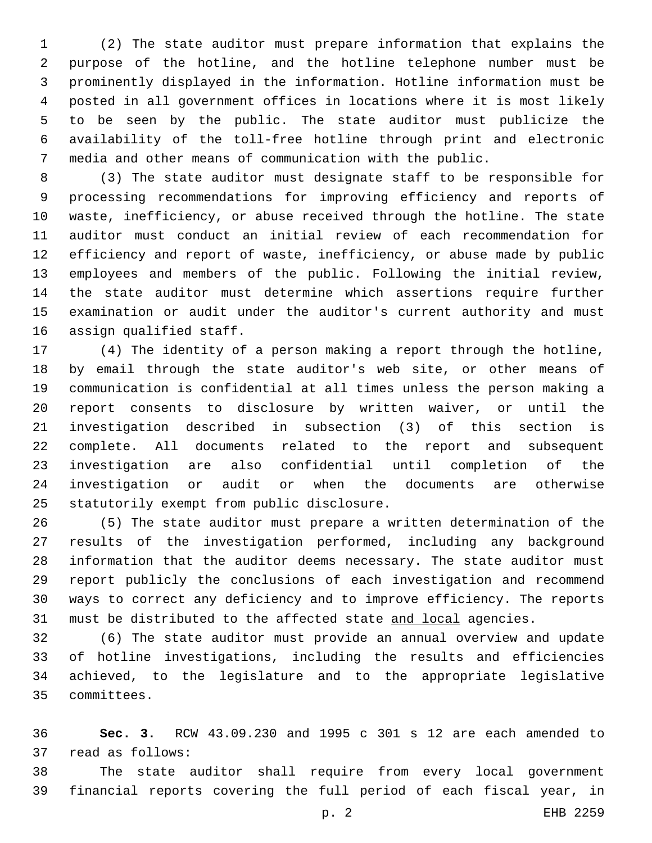(2) The state auditor must prepare information that explains the purpose of the hotline, and the hotline telephone number must be prominently displayed in the information. Hotline information must be posted in all government offices in locations where it is most likely to be seen by the public. The state auditor must publicize the availability of the toll-free hotline through print and electronic media and other means of communication with the public.

 (3) The state auditor must designate staff to be responsible for processing recommendations for improving efficiency and reports of waste, inefficiency, or abuse received through the hotline. The state auditor must conduct an initial review of each recommendation for efficiency and report of waste, inefficiency, or abuse made by public employees and members of the public. Following the initial review, the state auditor must determine which assertions require further examination or audit under the auditor's current authority and must 16 assign qualified staff.

 (4) The identity of a person making a report through the hotline, by email through the state auditor's web site, or other means of communication is confidential at all times unless the person making a report consents to disclosure by written waiver, or until the investigation described in subsection (3) of this section is complete. All documents related to the report and subsequent investigation are also confidential until completion of the investigation or audit or when the documents are otherwise 25 statutorily exempt from public disclosure.

 (5) The state auditor must prepare a written determination of the results of the investigation performed, including any background information that the auditor deems necessary. The state auditor must report publicly the conclusions of each investigation and recommend ways to correct any deficiency and to improve efficiency. The reports 31 must be distributed to the affected state and local agencies.

 (6) The state auditor must provide an annual overview and update of hotline investigations, including the results and efficiencies achieved, to the legislature and to the appropriate legislative committees.35

 **Sec. 3.** RCW 43.09.230 and 1995 c 301 s 12 are each amended to 37 read as follows:

 The state auditor shall require from every local government financial reports covering the full period of each fiscal year, in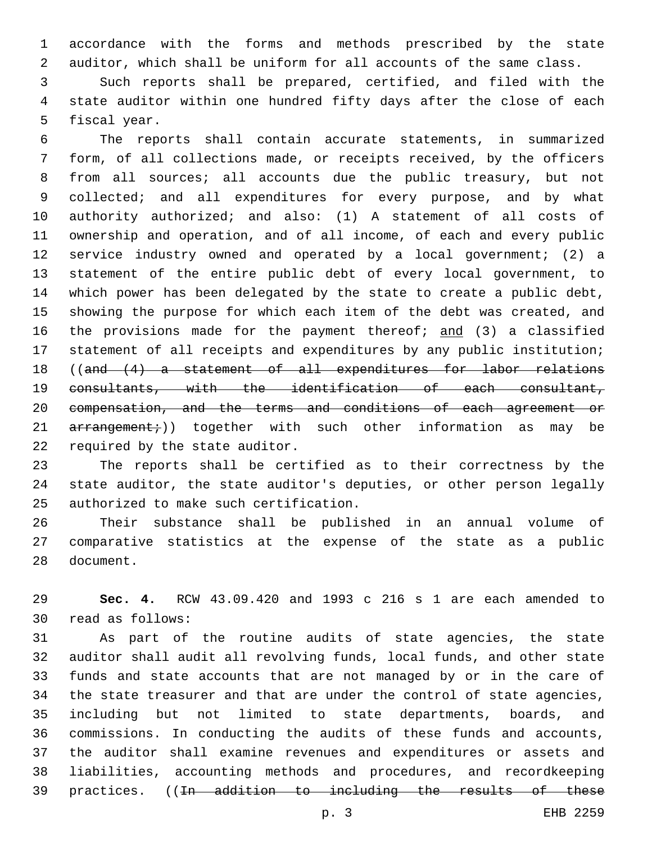accordance with the forms and methods prescribed by the state auditor, which shall be uniform for all accounts of the same class.

 Such reports shall be prepared, certified, and filed with the state auditor within one hundred fifty days after the close of each 5 fiscal year.

 The reports shall contain accurate statements, in summarized form, of all collections made, or receipts received, by the officers from all sources; all accounts due the public treasury, but not 9 collected; and all expenditures for every purpose, and by what authority authorized; and also: (1) A statement of all costs of ownership and operation, and of all income, of each and every public service industry owned and operated by a local government; (2) a statement of the entire public debt of every local government, to which power has been delegated by the state to create a public debt, showing the purpose for which each item of the debt was created, and 16 the provisions made for the payment thereof; and (3) a classified statement of all receipts and expenditures by any public institution; ((and (4) a statement of all expenditures for labor relations consultants, with the identification of each consultant, compensation, and the terms and conditions of each agreement or  $\ar{r}$  arrangement;)) together with such other information as may be 22 required by the state auditor.

 The reports shall be certified as to their correctness by the state auditor, the state auditor's deputies, or other person legally 25 authorized to make such certification.

 Their substance shall be published in an annual volume of comparative statistics at the expense of the state as a public 28 document.

 **Sec. 4.** RCW 43.09.420 and 1993 c 216 s 1 are each amended to read as follows:30

 As part of the routine audits of state agencies, the state auditor shall audit all revolving funds, local funds, and other state funds and state accounts that are not managed by or in the care of the state treasurer and that are under the control of state agencies, including but not limited to state departments, boards, and commissions. In conducting the audits of these funds and accounts, the auditor shall examine revenues and expenditures or assets and liabilities, accounting methods and procedures, and recordkeeping practices. ((In addition to including the results of these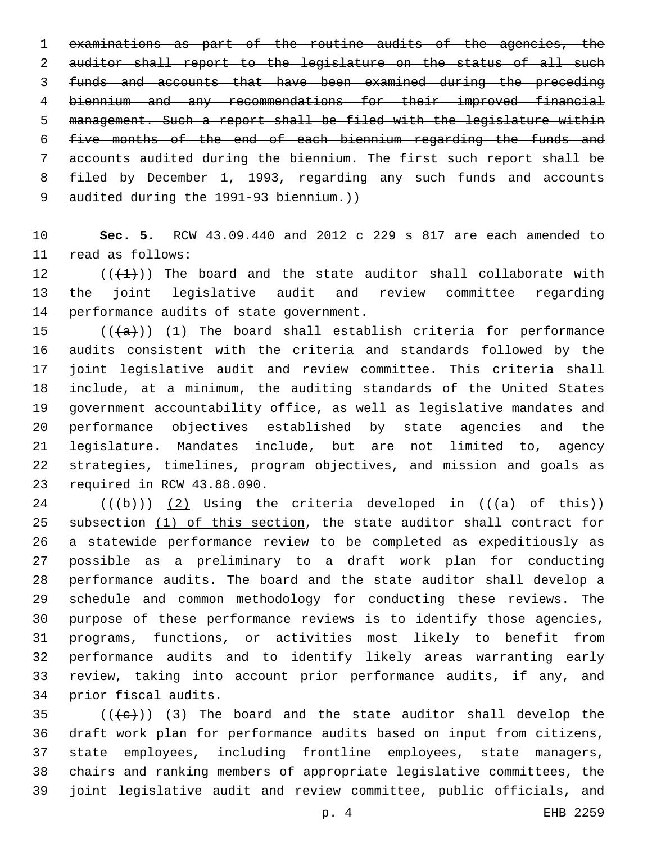examinations as part of the routine audits of the agencies, the 2 auditor shall report to the legislature on the status of all such funds and accounts that have been examined during the preceding biennium and any recommendations for their improved financial management. Such a report shall be filed with the legislature within five months of the end of each biennium regarding the funds and accounts audited during the biennium. The first such report shall be filed by December 1, 1993, regarding any such funds and accounts 9 audited during the 1991-93 biennium.))

 **Sec. 5.** RCW 43.09.440 and 2012 c 229 s 817 are each amended to 11 read as follows:

12  $((+1))$  The board and the state auditor shall collaborate with the joint legislative audit and review committee regarding 14 performance audits of state government.

 $((+a))$   $(1)$  The board shall establish criteria for performance audits consistent with the criteria and standards followed by the joint legislative audit and review committee. This criteria shall include, at a minimum, the auditing standards of the United States government accountability office, as well as legislative mandates and performance objectives established by state agencies and the legislature. Mandates include, but are not limited to, agency strategies, timelines, program objectives, and mission and goals as 23 required in RCW 43.88.090.

 (( $\left(\frac{1}{10}\right)$ ) (2) Using the criteria developed in (( $\left(\frac{1}{10}\right)$  of this)) subsection (1) of this section, the state auditor shall contract for a statewide performance review to be completed as expeditiously as possible as a preliminary to a draft work plan for conducting performance audits. The board and the state auditor shall develop a schedule and common methodology for conducting these reviews. The purpose of these performance reviews is to identify those agencies, programs, functions, or activities most likely to benefit from performance audits and to identify likely areas warranting early review, taking into account prior performance audits, if any, and 34 prior fiscal audits.

 (( $\left(\frac{1}{1}e\right)$ ) (3) The board and the state auditor shall develop the draft work plan for performance audits based on input from citizens, state employees, including frontline employees, state managers, chairs and ranking members of appropriate legislative committees, the joint legislative audit and review committee, public officials, and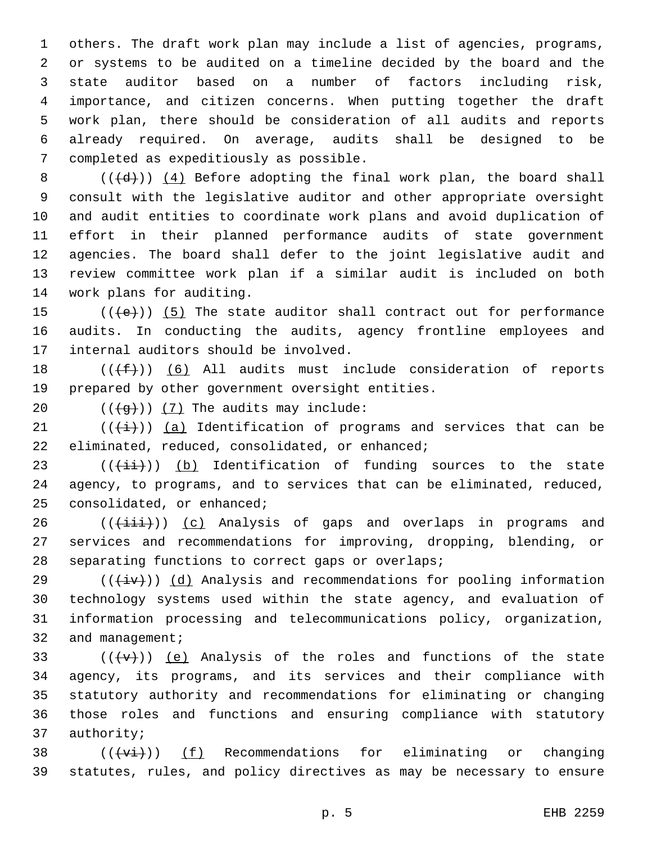others. The draft work plan may include a list of agencies, programs, or systems to be audited on a timeline decided by the board and the state auditor based on a number of factors including risk, importance, and citizen concerns. When putting together the draft work plan, there should be consideration of all audits and reports already required. On average, audits shall be designed to be 7 completed as expeditiously as possible.

 $((+d))$   $(4)$  Before adopting the final work plan, the board shall consult with the legislative auditor and other appropriate oversight and audit entities to coordinate work plans and avoid duplication of effort in their planned performance audits of state government agencies. The board shall defer to the joint legislative audit and review committee work plan if a similar audit is included on both 14 work plans for auditing.

15  $((+e))$   $(5)$  The state auditor shall contract out for performance 16 audits. In conducting the audits, agency frontline employees and 17 internal auditors should be involved.

18  $((\text{+f-}))(6)$  All audits must include consideration of reports 19 prepared by other government oversight entities.

20  $((\overline{g}))$   $(7)$  The audits may include:

 $(1)$  (( $\frac{1}{1})$ ) (a) Identification of programs and services that can be 22 eliminated, reduced, consolidated, or enhanced;

 $23$  (( $(i+i)$ ) (b) Identification of funding sources to the state 24 agency, to programs, and to services that can be eliminated, reduced, 25 consolidated, or enhanced;

 $26$  (( $(i\text{iii})$ )) (c) Analysis of gaps and overlaps in programs and 27 services and recommendations for improving, dropping, blending, or 28 separating functions to correct gaps or overlaps;

29 ( $(\overline{4}\overline{v})$ ) (d) Analysis and recommendations for pooling information 30 technology systems used within the state agency, and evaluation of 31 information processing and telecommunications policy, organization, 32 and management;

 $((+\nabla)^2)(e)$  Analysis of the roles and functions of the state agency, its programs, and its services and their compliance with statutory authority and recommendations for eliminating or changing those roles and functions and ensuring compliance with statutory 37 authority;

38  $((+v\text{i}+))$  (f) Recommendations for eliminating or changing 39 statutes, rules, and policy directives as may be necessary to ensure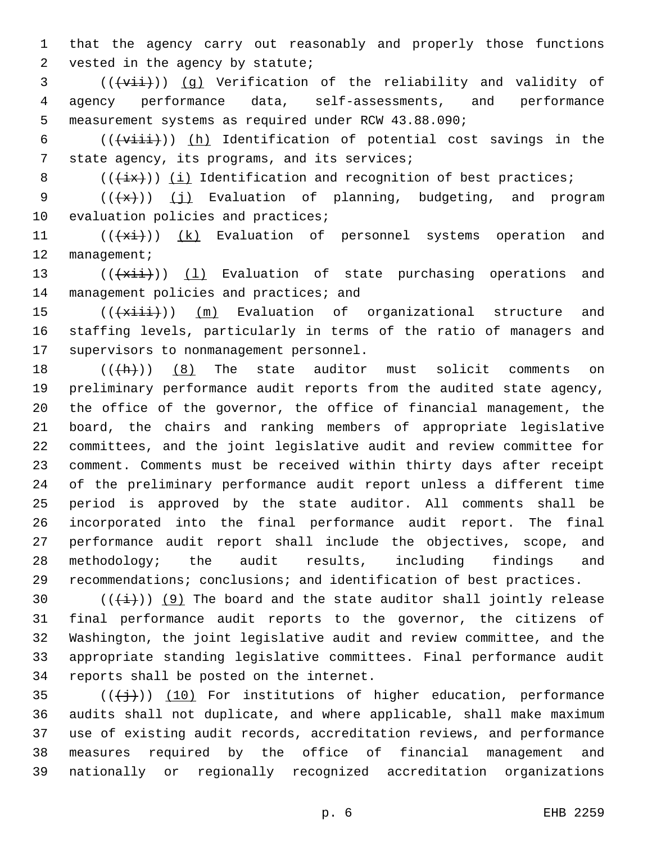1 that the agency carry out reasonably and properly those functions 2 vested in the agency by statute;

3 (((vii)) (g) Verification of the reliability and validity of 4 agency performance data, self-assessments, and performance 5 measurement systems as required under RCW 43.88.090;

6  $((\overline{\text{within}}))$  (h) Identification of potential cost savings in the 7 state agency, its programs, and its services;

8  $((+ix))$  (i) Identification and recognition of best practices;

9  $((+x))$  (j) Evaluation of planning, budgeting, and program 10 evaluation policies and practices;

11 (((+xi)) (k) Evaluation of personnel systems operation and 12 management;

13  $((+x\text{iii}))$  (1) Evaluation of state purchasing operations and 14 management policies and practices; and

15 (( $\frac{1}{15}$  (( $\frac{1}{11}$ )) (m) Evaluation of organizational structure and 16 staffing levels, particularly in terms of the ratio of managers and 17 supervisors to nonmanagement personnel.

 $((+h))$  (8) The state auditor must solicit comments on preliminary performance audit reports from the audited state agency, the office of the governor, the office of financial management, the board, the chairs and ranking members of appropriate legislative committees, and the joint legislative audit and review committee for comment. Comments must be received within thirty days after receipt of the preliminary performance audit report unless a different time period is approved by the state auditor. All comments shall be incorporated into the final performance audit report. The final performance audit report shall include the objectives, scope, and methodology; the audit results, including findings and recommendations; conclusions; and identification of best practices.

 $((+i+))$  (9) The board and the state auditor shall jointly release final performance audit reports to the governor, the citizens of Washington, the joint legislative audit and review committee, and the appropriate standing legislative committees. Final performance audit 34 reports shall be posted on the internet.

 $(1)$ ) (10) For institutions of higher education, performance audits shall not duplicate, and where applicable, shall make maximum use of existing audit records, accreditation reviews, and performance measures required by the office of financial management and nationally or regionally recognized accreditation organizations